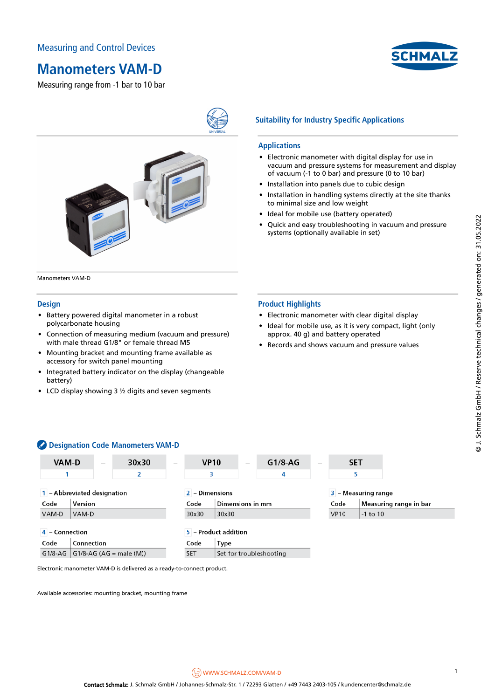

# **Manometers VAM-D**

Measuring range from -1 bar to 10 bar



Manometers VAM-D

#### **Design**

- Battery powered digital manometer in a robust polycarbonate housing
- Connection of measuring medium (vacuum and pressure) with male thread G1/8" or female thread M5
- Mounting bracket and mounting frame available as accessory for switch panel mounting
- Integrated battery indicator on the display (changeable battery)
- LCD display showing 3 ½ digits and seven segments

# **Suitability for Industry Specific Applications**

#### **Applications**

- Electronic manometer with digital display for use in vacuum and pressure systems for measurement and display of vacuum (-1 to 0 bar) and pressure (0 to 10 bar)
- Installation into panels due to cubic design
- Installation in handling systems directly at the site thanks to minimal size and low weight
- Ideal for mobile use (battery operated)
- Quick and easy troubleshooting in vacuum and pressure systems (optionally available in set)

### **Product Highlights**

 $G1/8-AG$  $\overline{A}$ 

- Electronic manometer with clear digital display
- Ideal for mobile use, as it is very compact, light (only approx. 40 g) and battery operated
- Records and shows vacuum and pressure values

# **Designation Code Manometers VAM-D**

| VAM-D                         |                                   |  | 30x30 |  | <b>VP10</b>          |                  |                         | G1/8 |  |
|-------------------------------|-----------------------------------|--|-------|--|----------------------|------------------|-------------------------|------|--|
|                               |                                   |  | 2     |  | 3                    |                  |                         | 4    |  |
| $1$ – Abbreviated designation |                                   |  |       |  | $2 -$ Dimensions     |                  |                         |      |  |
| Code                          | Version                           |  |       |  |                      | Dimensions in mm |                         |      |  |
| VAM-D                         | VAM-D                             |  |       |  | 30x30                | 30x30            |                         |      |  |
| $4 -$ Connection              |                                   |  |       |  | 5 - Product addition |                  |                         |      |  |
| Code                          | Connection                        |  |       |  | Code                 | <b>Type</b>      |                         |      |  |
|                               | $G1/8-AG$ G1/8-AG (AG = male (M)) |  |       |  | <b>SET</b>           |                  | Set for troubleshooting |      |  |

| <b>SET</b> |  |
|------------|--|
| 5          |  |

#### $3$  – Measuring range

| Code | Measuring range in bar |  |  |  |  |  |
|------|------------------------|--|--|--|--|--|
| VP10 | $-1$ to 10             |  |  |  |  |  |

Electronic manometer VAM-D is delivered as a ready-to-connect product.

Available accessories: mounting bracket, mounting frame

® J. Schmalz GmbH / Reserve technical changes / generated on: 31.05.2022 © J. Schmalz GmbH / Reserve technical changes / generated on: 31.05.2022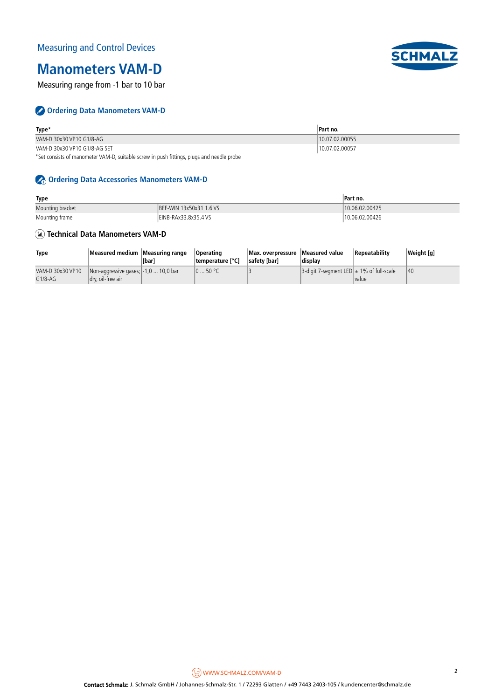

# **Manometers VAM-D**

Measuring range from -1 bar to 10 bar

## **Ordering Data Manometers VAM-D**

| Type*                                                                                                         | Part no.       |
|---------------------------------------------------------------------------------------------------------------|----------------|
| VAM-D 30x30 VP10 G1/8-AG                                                                                      | 10.07.02.00055 |
| VAM-D 30x30 VP10 G1/8-AG SET                                                                                  | 10.07.02.00057 |
| . * Cat accelete of second control VANA Distributed a second to such fitting as a long-second second a second |                |

\*Set consists of manometer VAM-D, suitable screw in push fittings, plugs and needle probe

## **Ordering Data Accessories Manometers VAM-D**

| Type             |                         | Part no.       |
|------------------|-------------------------|----------------|
| Mounting bracket | BEF-WIN 13x50x31 1.6 VS | 10.06.02.00425 |
| Mounting frame   | EINB-RAx33.8x35.4 VS    | 10.06.02.00426 |

## **Technical Data Manometers VAM-D**

| <b>Type</b>      | Measured medium Measuring range              |                | <b>Operating</b> | Max. overpressure Measured value |                                                             | Repeatability | Weight [q] |
|------------------|----------------------------------------------|----------------|------------------|----------------------------------|-------------------------------------------------------------|---------------|------------|
|                  |                                              | <b>l</b> Ibari | temperature [°C] | safety [bar]                     | display                                                     |               |            |
| VAM-D 30x30 VP10 | Non-aggressive gases; $\vert$ -1,0  10,0 bar |                | 050 °C           |                                  | $\vert$ 3-digit 7-segment LED $\vert \pm 1\%$ of full-scale |               | 40         |
| $G1/8-AG$        | dry, oil-free air                            |                |                  |                                  |                                                             | Ivalue        |            |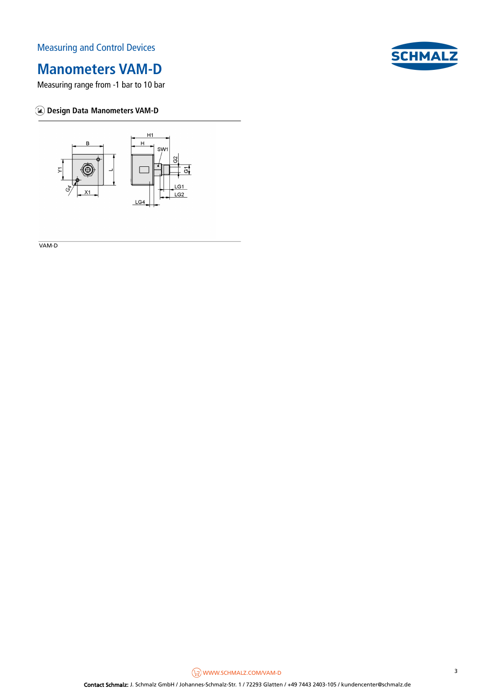# **SCHMA**

# **Manometers VAM-D**

Measuring range from -1 bar to 10 bar

## **Design Data Manometers VAM-D**



VAM-D